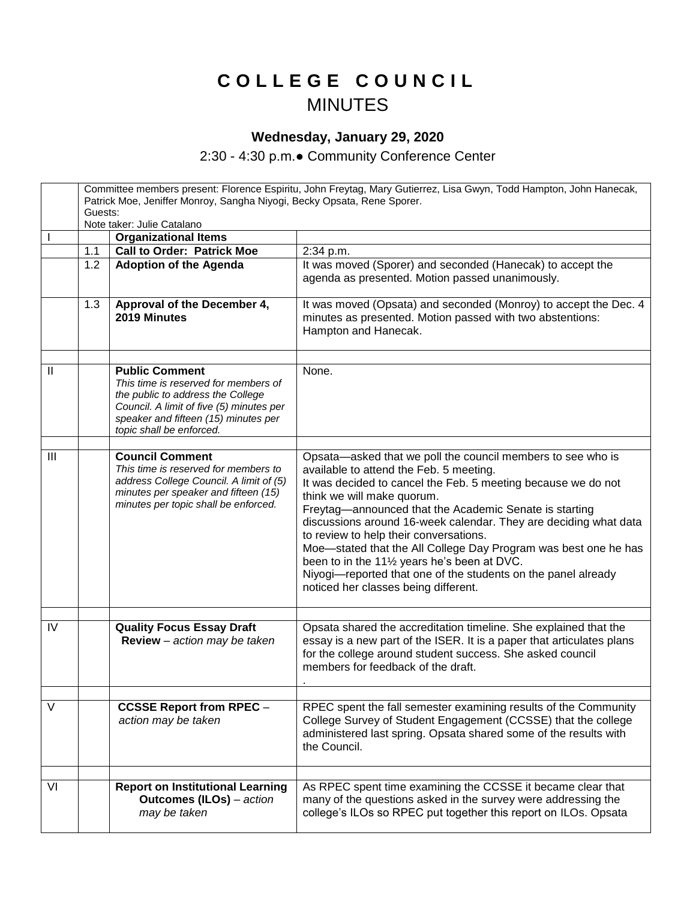## **C O L L E G E C O U N C I L** MINUTES

## **Wednesday, January 29, 2020**

2:30 - 4:30 p.m.● Community Conference Center

Committee members present: Florence Espiritu, John Freytag, Mary Gutierrez, Lisa Gwyn, Todd Hampton, John Hanecak, Patrick Moe, Jeniffer Monroy, Sangha Niyogi, Becky Opsata, Rene Sporer. Guests: Note taker: Julie Catalano I **Organizational Items** 1.1 | **Call to Order: Patrick Moe** | 2:34 p.m. 1.2 **Adoption of the Agenda** It was moved (Sporer) and seconded (Hanecak) to accept the agenda as presented. Motion passed unanimously. 1.3 **Approval of the December 4, 2019 Minutes** It was moved (Opsata) and seconded (Monroy) to accept the Dec. 4 minutes as presented. Motion passed with two abstentions: Hampton and Hanecak. II **Public Comment** *This time is reserved for members of the public to address the College Council. A limit of five (5) minutes per speaker and fifteen (15) minutes per topic shall be enforced.*  None. III **Council Comment** *This time is reserved for members to address College Council. A limit of (5) minutes per speaker and fifteen (15) minutes per topic shall be enforced.* Opsata—asked that we poll the council members to see who is available to attend the Feb. 5 meeting. It was decided to cancel the Feb. 5 meeting because we do not think we will make quorum. Freytag—announced that the Academic Senate is starting discussions around 16-week calendar. They are deciding what data to review to help their conversations. Moe—stated that the All College Day Program was best one he has been to in the 11½ years he's been at DVC. Niyogi—reported that one of the students on the panel already noticed her classes being different. IV **Quality Focus Essay Draft Review** – *action may be taken* Opsata shared the accreditation timeline. She explained that the essay is a new part of the ISER. It is a paper that articulates plans for the college around student success. She asked council members for feedback of the draft. . V **CCSSE Report from RPEC** – *action may be taken* RPEC spent the fall semester examining results of the Community College Survey of Student Engagement (CCSSE) that the college administered last spring. Opsata shared some of the results with the Council. VI **Report on Institutional Learning Outcomes (ILOs)** – *action may be taken* As RPEC spent time examining the CCSSE it became clear that many of the questions asked in the survey were addressing the college's ILOs so RPEC put together this report on ILOs. Opsata